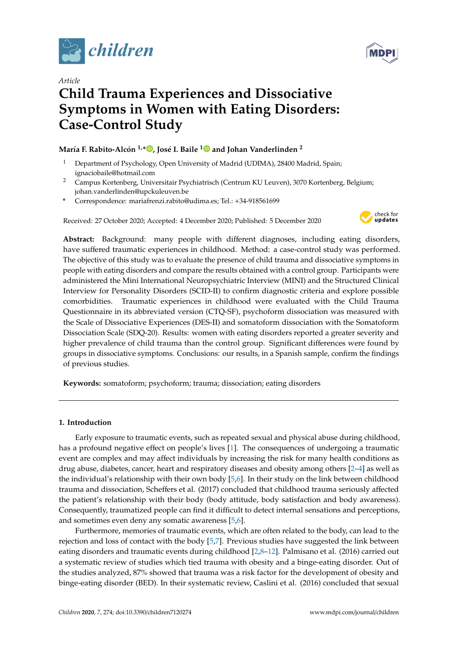



# *Article* **Child Trauma Experiences and Dissociative Symptoms in Women with Eating Disorders: Case-Control Study**

# **María F. Rabito-Alcón 1,[\\*](https://orcid.org/0000-0003-3524-5481) , José I. Baile [1](https://orcid.org/0000-0001-8123-405X) and Johan Vanderlinden <sup>2</sup>**

- <sup>1</sup> Department of Psychology, Open University of Madrid (UDIMA), 28400 Madrid, Spain; ignaciobaile@hotmail.com
- <sup>2</sup> Campus Kortenberg, Universitair Psychiatrisch (Centrum KU Leuven), 3070 Kortenberg, Belgium; johan.vanderlinden@upckuleuven.be
- **\*** Correspondence: mariafrenzi.rabito@udima.es; Tel.: +34-918561699

Received: 27 October 2020; Accepted: 4 December 2020; Published: 5 December 2020



**Abstract:** Background: many people with different diagnoses, including eating disorders, have suffered traumatic experiences in childhood. Method: a case-control study was performed. The objective of this study was to evaluate the presence of child trauma and dissociative symptoms in people with eating disorders and compare the results obtained with a control group. Participants were administered the Mini International Neuropsychiatric Interview (MINI) and the Structured Clinical Interview for Personality Disorders (SCID-II) to confirm diagnostic criteria and explore possible comorbidities. Traumatic experiences in childhood were evaluated with the Child Trauma Questionnaire in its abbreviated version (CTQ-SF), psychoform dissociation was measured with the Scale of Dissociative Experiences (DES-II) and somatoform dissociation with the Somatoform Dissociation Scale (SDQ-20). Results: women with eating disorders reported a greater severity and higher prevalence of child trauma than the control group. Significant differences were found by groups in dissociative symptoms. Conclusions: our results, in a Spanish sample, confirm the findings of previous studies.

**Keywords:** somatoform; psychoform; trauma; dissociation; eating disorders

## **1. Introduction**

Early exposure to traumatic events, such as repeated sexual and physical abuse during childhood, has a profound negative effect on people's lives [\[1\]](#page-7-0). The consequences of undergoing a traumatic event are complex and may affect individuals by increasing the risk for many health conditions as drug abuse, diabetes, cancer, heart and respiratory diseases and obesity among others [\[2](#page-7-1)[–4\]](#page-7-2) as well as the individual's relationship with their own body [\[5,](#page-7-3)[6\]](#page-7-4). In their study on the link between childhood trauma and dissociation, Scheffers et al. (2017) concluded that childhood trauma seriously affected the patient's relationship with their body (body attitude, body satisfaction and body awareness). Consequently, traumatized people can find it difficult to detect internal sensations and perceptions, and sometimes even deny any somatic awareness [\[5,](#page-7-3)[6\]](#page-7-4).

Furthermore, memories of traumatic events, which are often related to the body, can lead to the rejection and loss of contact with the body [\[5](#page-7-3)[,7\]](#page-7-5). Previous studies have suggested the link between eating disorders and traumatic events during childhood [\[2](#page-7-1)[,8](#page-7-6)[–12\]](#page-7-7). Palmisano et al. (2016) carried out a systematic review of studies which tied trauma with obesity and a binge-eating disorder. Out of the studies analyzed, 87% showed that trauma was a risk factor for the development of obesity and binge-eating disorder (BED). In their systematic review, Caslini et al. (2016) concluded that sexual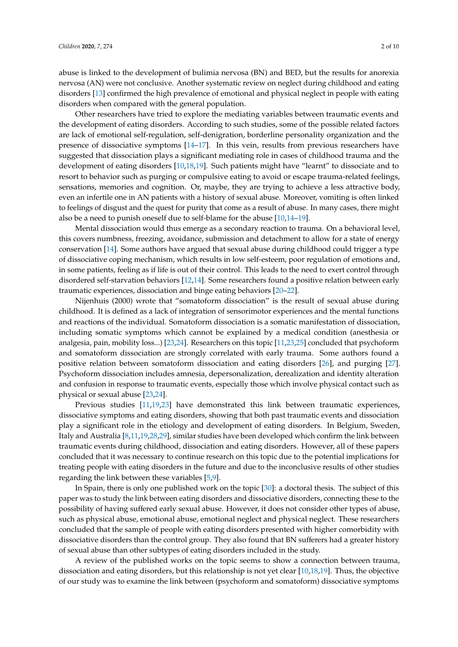abuse is linked to the development of bulimia nervosa (BN) and BED, but the results for anorexia nervosa (AN) were not conclusive. Another systematic review on neglect during childhood and eating disorders [\[13\]](#page-7-8) confirmed the high prevalence of emotional and physical neglect in people with eating disorders when compared with the general population.

Other researchers have tried to explore the mediating variables between traumatic events and the development of eating disorders. According to such studies, some of the possible related factors are lack of emotional self-regulation, self-denigration, borderline personality organization and the presence of dissociative symptoms [\[14–](#page-7-9)[17\]](#page-8-0). In this vein, results from previous researchers have suggested that dissociation plays a significant mediating role in cases of childhood trauma and the development of eating disorders [\[10](#page-7-10)[,18](#page-8-1)[,19\]](#page-8-2). Such patients might have "learnt" to dissociate and to resort to behavior such as purging or compulsive eating to avoid or escape trauma-related feelings, sensations, memories and cognition. Or, maybe, they are trying to achieve a less attractive body, even an infertile one in AN patients with a history of sexual abuse. Moreover, vomiting is often linked to feelings of disgust and the quest for purity that come as a result of abuse. In many cases, there might also be a need to punish oneself due to self-blame for the abuse [\[10,](#page-7-10)[14–](#page-7-9)[19\]](#page-8-2).

Mental dissociation would thus emerge as a secondary reaction to trauma. On a behavioral level, this covers numbness, freezing, avoidance, submission and detachment to allow for a state of energy conservation [\[14\]](#page-7-9). Some authors have argued that sexual abuse during childhood could trigger a type of dissociative coping mechanism, which results in low self-esteem, poor regulation of emotions and, in some patients, feeling as if life is out of their control. This leads to the need to exert control through disordered self-starvation behaviors [\[12](#page-7-7)[,14\]](#page-7-9). Some researchers found a positive relation between early traumatic experiences, dissociation and binge eating behaviors [\[20](#page-8-3)[–22\]](#page-8-4).

Nijenhuis (2000) wrote that "somatoform dissociation" is the result of sexual abuse during childhood. It is defined as a lack of integration of sensorimotor experiences and the mental functions and reactions of the individual. Somatoform dissociation is a somatic manifestation of dissociation, including somatic symptoms which cannot be explained by a medical condition (anesthesia or analgesia, pain, mobility loss...) [\[23,](#page-8-5)[24\]](#page-8-6). Researchers on this topic [\[11,](#page-7-11)[23,](#page-8-5)[25\]](#page-8-7) concluded that psychoform and somatoform dissociation are strongly correlated with early trauma. Some authors found a positive relation between somatoform dissociation and eating disorders [\[26\]](#page-8-8), and purging [\[27\]](#page-8-9). Psychoform dissociation includes amnesia, depersonalization, derealization and identity alteration and confusion in response to traumatic events, especially those which involve physical contact such as physical or sexual abuse [\[23,](#page-8-5)[24\]](#page-8-6).

Previous studies [\[11](#page-7-11)[,19](#page-8-2)[,23\]](#page-8-5) have demonstrated this link between traumatic experiences, dissociative symptoms and eating disorders, showing that both past traumatic events and dissociation play a significant role in the etiology and development of eating disorders. In Belgium, Sweden, Italy and Australia [\[8](#page-7-6)[,11](#page-7-11)[,19,](#page-8-2)[28,](#page-8-10)[29\]](#page-8-11), similar studies have been developed which confirm the link between traumatic events during childhood, dissociation and eating disorders. However, all of these papers concluded that it was necessary to continue research on this topic due to the potential implications for treating people with eating disorders in the future and due to the inconclusive results of other studies regarding the link between these variables [\[5,](#page-7-3)[9\]](#page-7-12).

In Spain, there is only one published work on the topic [\[30\]](#page-8-12): a doctoral thesis. The subject of this paper was to study the link between eating disorders and dissociative disorders, connecting these to the possibility of having suffered early sexual abuse. However, it does not consider other types of abuse, such as physical abuse, emotional abuse, emotional neglect and physical neglect. These researchers concluded that the sample of people with eating disorders presented with higher comorbidity with dissociative disorders than the control group. They also found that BN sufferers had a greater history of sexual abuse than other subtypes of eating disorders included in the study.

A review of the published works on the topic seems to show a connection between trauma, dissociation and eating disorders, but this relationship is not yet clear [\[10,](#page-7-10)[18,](#page-8-1)[19\]](#page-8-2). Thus, the objective of our study was to examine the link between (psychoform and somatoform) dissociative symptoms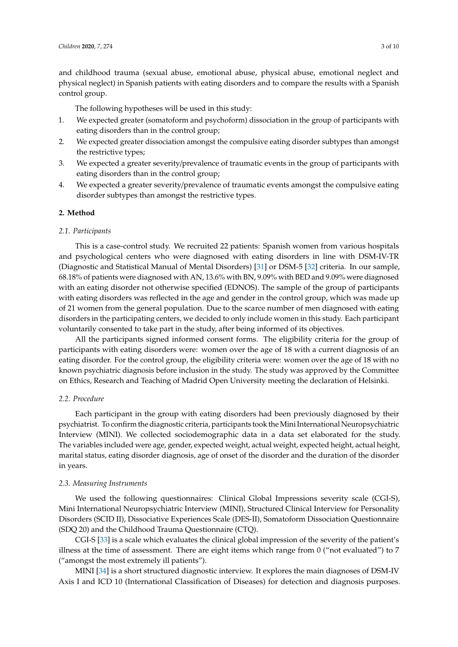and childhood trauma (sexual abuse, emotional abuse, physical abuse, emotional neglect and physical neglect) in Spanish patients with eating disorders and to compare the results with a Spanish control group.

The following hypotheses will be used in this study:

- 1. We expected greater (somatoform and psychoform) dissociation in the group of participants with eating disorders than in the control group;
- 2. We expected greater dissociation amongst the compulsive eating disorder subtypes than amongst the restrictive types;
- 3. We expected a greater severity/prevalence of traumatic events in the group of participants with eating disorders than in the control group;
- 4. We expected a greater severity/prevalence of traumatic events amongst the compulsive eating disorder subtypes than amongst the restrictive types.

#### **2. Method**

#### *2.1. Participants*

This is a case-control study. We recruited 22 patients: Spanish women from various hospitals and psychological centers who were diagnosed with eating disorders in line with DSM-IV-TR (Diagnostic and Statistical Manual of Mental Disorders) [\[31\]](#page-8-13) or DSM-5 [\[32\]](#page-8-14) criteria. In our sample, 68.18% of patients were diagnosed with AN, 13.6% with BN, 9.09% with BED and 9.09% were diagnosed with an eating disorder not otherwise specified (EDNOS). The sample of the group of participants with eating disorders was reflected in the age and gender in the control group, which was made up of 21 women from the general population. Due to the scarce number of men diagnosed with eating disorders in the participating centers, we decided to only include women in this study. Each participant voluntarily consented to take part in the study, after being informed of its objectives.

All the participants signed informed consent forms. The eligibility criteria for the group of participants with eating disorders were: women over the age of 18 with a current diagnosis of an eating disorder. For the control group, the eligibility criteria were: women over the age of 18 with no known psychiatric diagnosis before inclusion in the study. The study was approved by the Committee on Ethics, Research and Teaching of Madrid Open University meeting the declaration of Helsinki.

## *2.2. Procedure*

Each participant in the group with eating disorders had been previously diagnosed by their psychiatrist. To confirm the diagnostic criteria, participants took theMini International Neuropsychiatric Interview (MINI). We collected sociodemographic data in a data set elaborated for the study. The variables included were age, gender, expected weight, actual weight, expected height, actual height, marital status, eating disorder diagnosis, age of onset of the disorder and the duration of the disorder in years.

#### *2.3. Measuring Instruments*

We used the following questionnaires: Clinical Global Impressions severity scale (CGI-S), Mini International Neuropsychiatric Interview (MINI), Structured Clinical Interview for Personality Disorders (SCID II), Dissociative Experiences Scale (DES-II), Somatoform Dissociation Questionnaire (SDQ 20) and the Childhood Trauma Questionnaire (CTQ).

CGI-S [\[33\]](#page-8-15) is a scale which evaluates the clinical global impression of the severity of the patient's illness at the time of assessment. There are eight items which range from 0 ("not evaluated") to 7 ("amongst the most extremely ill patients").

MINI [\[34\]](#page-8-16) is a short structured diagnostic interview. It explores the main diagnoses of DSM-IV Axis I and ICD 10 (International Classification of Diseases) for detection and diagnosis purposes.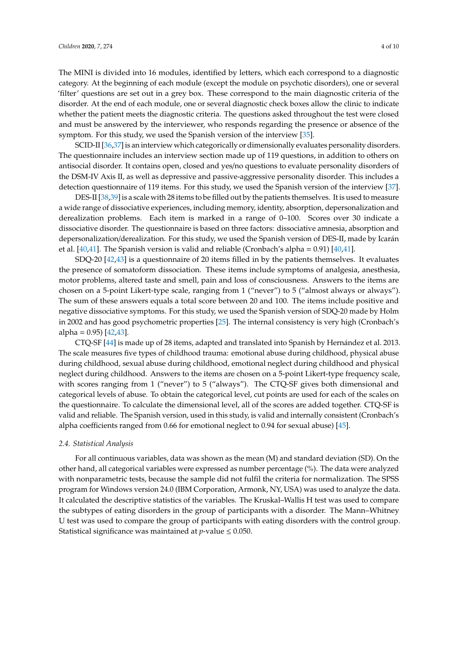The MINI is divided into 16 modules, identified by letters, which each correspond to a diagnostic category. At the beginning of each module (except the module on psychotic disorders), one or several 'filter' questions are set out in a grey box. These correspond to the main diagnostic criteria of the disorder. At the end of each module, one or several diagnostic check boxes allow the clinic to indicate whether the patient meets the diagnostic criteria. The questions asked throughout the test were closed and must be answered by the interviewer, who responds regarding the presence or absence of the symptom. For this study, we used the Spanish version of the interview [\[35\]](#page-8-17).

SCID-II [\[36](#page-8-18)[,37\]](#page-8-19) is an interview which categorically or dimensionally evaluates personality disorders. The questionnaire includes an interview section made up of 119 questions, in addition to others on antisocial disorder. It contains open, closed and yes/no questions to evaluate personality disorders of the DSM-IV Axis II, as well as depressive and passive-aggressive personality disorder. This includes a detection questionnaire of 119 items. For this study, we used the Spanish version of the interview [\[37\]](#page-8-19).

DES-II [\[38,](#page-8-20)[39\]](#page-8-21) is a scale with 28 items to be filled out by the patients themselves. It is used to measure a wide range of dissociative experiences, including memory, identity, absorption, depersonalization and derealization problems. Each item is marked in a range of 0–100. Scores over 30 indicate a dissociative disorder. The questionnaire is based on three factors: dissociative amnesia, absorption and depersonalization/derealization. For this study, we used the Spanish version of DES-II, made by Icarán et al. [\[40,](#page-9-0)[41\]](#page-9-1). The Spanish version is valid and reliable (Cronbach's alpha = 0.91) [\[40,](#page-9-0)[41\]](#page-9-1).

SDQ-20 [\[42](#page-9-2)[,43\]](#page-9-3) is a questionnaire of 20 items filled in by the patients themselves. It evaluates the presence of somatoform dissociation. These items include symptoms of analgesia, anesthesia, motor problems, altered taste and smell, pain and loss of consciousness. Answers to the items are chosen on a 5-point Likert-type scale, ranging from 1 ("never") to 5 ("almost always or always"). The sum of these answers equals a total score between 20 and 100. The items include positive and negative dissociative symptoms. For this study, we used the Spanish version of SDQ-20 made by Holm in 2002 and has good psychometric properties [\[25\]](#page-8-7). The internal consistency is very high (Cronbach's alpha =  $0.95$ ) [ $42,43$ ].

CTQ-SF [\[44\]](#page-9-4) is made up of 28 items, adapted and translated into Spanish by Hernández et al. 2013. The scale measures five types of childhood trauma: emotional abuse during childhood, physical abuse during childhood, sexual abuse during childhood, emotional neglect during childhood and physical neglect during childhood. Answers to the items are chosen on a 5-point Likert-type frequency scale, with scores ranging from 1 ("never") to 5 ("always"). The CTQ-SF gives both dimensional and categorical levels of abuse. To obtain the categorical level, cut points are used for each of the scales on the questionnaire. To calculate the dimensional level, all of the scores are added together. CTQ-SF is valid and reliable. The Spanish version, used in this study, is valid and internally consistent (Cronbach's alpha coefficients ranged from 0.66 for emotional neglect to 0.94 for sexual abuse) [\[45\]](#page-9-5).

#### *2.4. Statistical Analysis*

For all continuous variables, data was shown as the mean (M) and standard deviation (SD). On the other hand, all categorical variables were expressed as number percentage (%). The data were analyzed with nonparametric tests, because the sample did not fulfil the criteria for normalization. The SPSS program for Windows version 24.0 (IBM Corporation, Armonk, NY, USA) was used to analyze the data. It calculated the descriptive statistics of the variables. The Kruskal–Wallis H test was used to compare the subtypes of eating disorders in the group of participants with a disorder. The Mann–Whitney U test was used to compare the group of participants with eating disorders with the control group. Statistical significance was maintained at  $p$ -value  $\leq 0.050$ .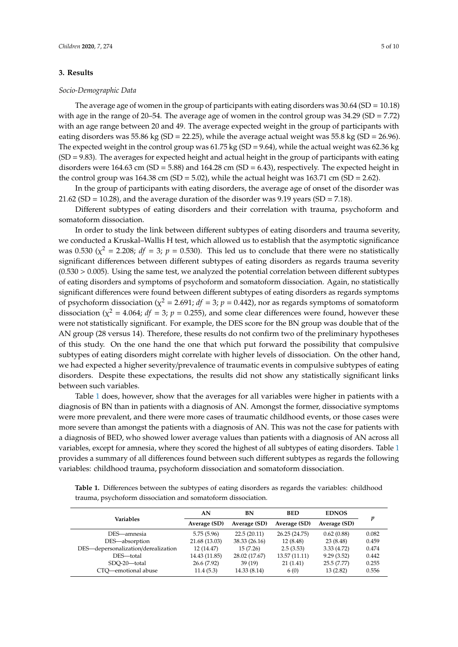#### **3. Results**

#### *Socio-Demographic Data*

The average age of women in the group of participants with eating disorders was  $30.64$  (SD = 10.18) with age in the range of 20–54. The average age of women in the control group was 34.29 (SD = 7.72) with an age range between 20 and 49. The average expected weight in the group of participants with eating disorders was 55.86 kg (SD = 22.25), while the average actual weight was 55.8 kg (SD = 26.96). The expected weight in the control group was  $61.75$  kg (SD = 9.64), while the actual weight was  $62.36$  kg  $(SD = 9.83)$ . The averages for expected height and actual height in the group of participants with eating disorders were  $164.63$  cm (SD = 5.88) and  $164.28$  cm (SD = 6.43), respectively. The expected height in the control group was  $164.38$  cm (SD = 5.02), while the actual height was  $163.71$  cm (SD = 2.62).

In the group of participants with eating disorders, the average age of onset of the disorder was 21.62 (SD = 10.28), and the average duration of the disorder was 9.19 years (SD = 7.18).

Different subtypes of eating disorders and their correlation with trauma, psychoform and somatoform dissociation.

In order to study the link between different subtypes of eating disorders and trauma severity, we conducted a Kruskal–Wallis H test, which allowed us to establish that the asymptotic significance was 0.530 ( $\chi^2$  = 2.208; *df* = 3; *p* = 0.530). This led us to conclude that there were no statistically significant differences between different subtypes of eating disorders as regards trauma severity  $(0.530 > 0.005)$ . Using the same test, we analyzed the potential correlation between different subtypes of eating disorders and symptoms of psychoform and somatoform dissociation. Again, no statistically significant differences were found between different subtypes of eating disorders as regards symptoms of psychoform dissociation ( $\chi^2$  = 2.691; *df* = 3; *p* = 0.442), nor as regards symptoms of somatoform dissociation ( $\chi^2$  = 4.064; *df* = 3; *p* = 0.255), and some clear differences were found, however these were not statistically significant. For example, the DES score for the BN group was double that of the AN group (28 versus 14). Therefore, these results do not confirm two of the preliminary hypotheses of this study. On the one hand the one that which put forward the possibility that compulsive subtypes of eating disorders might correlate with higher levels of dissociation. On the other hand, we had expected a higher severity/prevalence of traumatic events in compulsive subtypes of eating disorders. Despite these expectations, the results did not show any statistically significant links between such variables.

Table [1](#page-5-0) does, however, show that the averages for all variables were higher in patients with a diagnosis of BN than in patients with a diagnosis of AN. Amongst the former, dissociative symptoms were more prevalent, and there were more cases of traumatic childhood events, or those cases were more severe than amongst the patients with a diagnosis of AN. This was not the case for patients with a diagnosis of BED, who showed lower average values than patients with a diagnosis of AN across all variables, except for amnesia, where they scored the highest of all subtypes of eating disorders. Table [1](#page-5-0) provides a summary of all differences found between such different subtypes as regards the following variables: childhood trauma, psychoform dissociation and somatoform dissociation.

| Variables                           | AN            | BN            | <b>BED</b>    | <b>EDNOS</b> | p     |
|-------------------------------------|---------------|---------------|---------------|--------------|-------|
|                                     | Average (SD)  | Average (SD)  | Average (SD)  | Average (SD) |       |
| DES—amnesia                         | 5.75(5.96)    | 22.5(20.11)   | 26.25 (24.75) | 0.62(0.88)   | 0.082 |
| DES-absorption                      | 21.68 (13.03) | 38.33 (26.16) | 12(8.48)      | 23(8.48)     | 0.459 |
| DES-depersonalization/derealization | 12(14.47)     | 15(7.26)      | 2.5(3.53)     | 3.33(4.72)   | 0.474 |
| DES-total                           | 14.43 (11.85) | 28.02 (17.67) | 13.57 (11.11) | 9.29(3.52)   | 0.442 |
| SDO-20-total                        | 26.6 (7.92)   | 39(19)        | 21(1.41)      | 25.5(7.77)   | 0.255 |
| CTO-emotional abuse                 | 11.4(5.3)     | 14.33 (8.14)  | 6(0)          | 13(2.82)     | 0.556 |

**Table 1.** Differences between the subtypes of eating disorders as regards the variables: childhood trauma, psychoform dissociation and somatoform dissociation.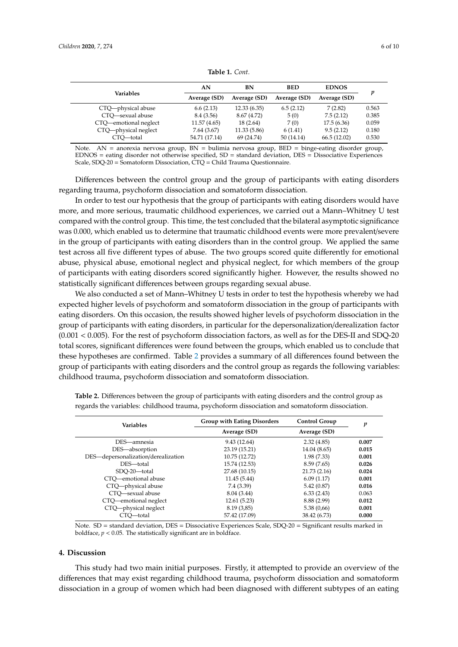<span id="page-5-0"></span>

| Variables             | AN            | BN           | <b>BED</b>   | <b>EDNOS</b> |       |
|-----------------------|---------------|--------------|--------------|--------------|-------|
|                       | Average (SD)  | Average (SD) | Average (SD) | Average (SD) | v     |
| CTQ-physical abuse    | 6.6(2.13)     | 12.33(6.35)  | 6.5(2.12)    | 7(2.82)      | 0.563 |
| CTO-sexual abuse      | 8.4 (3.56)    | 8.67 (4.72)  | 5(0)         | 7.5(2.12)    | 0.385 |
| CTQ-emotional neglect | 11.57 (4.65)  | 18(2.64)     | 7(0)         | 17.5(6.36)   | 0.059 |
| CTQ-physical neglect  | 7.64(3.67)    | 11.33(5.86)  | 6(1.41)      | 9.5(2.12)    | 0.180 |
| CTO-total             | 54.71 (17.14) | 69 (24.74)   | 50(14.14)    | 66.5(12.02)  | 0.530 |

**Table 1.** *Cont.*

Note. AN = anorexia nervosa group, BN = bulimia nervosa group, BED = binge-eating disorder group, EDNOS = eating disorder not otherwise specified, SD = standard deviation, DES = Dissociative Experiences Scale, SDQ-20 = Somatoform Dissociation, CTQ = Child Trauma Questionnaire.

Differences between the control group and the group of participants with eating disorders regarding trauma, psychoform dissociation and somatoform dissociation.

In order to test our hypothesis that the group of participants with eating disorders would have more, and more serious, traumatic childhood experiences, we carried out a Mann–Whitney U test compared with the control group. This time, the test concluded that the bilateral asymptotic significance was 0.000, which enabled us to determine that traumatic childhood events were more prevalent/severe in the group of participants with eating disorders than in the control group. We applied the same test across all five different types of abuse. The two groups scored quite differently for emotional abuse, physical abuse, emotional neglect and physical neglect, for which members of the group of participants with eating disorders scored significantly higher. However, the results showed no statistically significant differences between groups regarding sexual abuse.

We also conducted a set of Mann–Whitney U tests in order to test the hypothesis whereby we had expected higher levels of psychoform and somatoform dissociation in the group of participants with eating disorders. On this occasion, the results showed higher levels of psychoform dissociation in the group of participants with eating disorders, in particular for the depersonalization/derealization factor (0.001 < 0.005). For the rest of psychoform dissociation factors, as well as for the DES-II and SDQ-20 total scores, significant differences were found between the groups, which enabled us to conclude that these hypotheses are confirmed. Table [2](#page-5-1) provides a summary of all differences found between the group of participants with eating disorders and the control group as regards the following variables: childhood trauma, psychoform dissociation and somatoform dissociation.

| <b>Variables</b>                    | <b>Group with Eating Disorders</b> | <b>Control Group</b> | p     |
|-------------------------------------|------------------------------------|----------------------|-------|
|                                     | Average (SD)                       | Average (SD)         |       |
| DES-amnesia                         | 9.43(12.64)                        | 2.32(4.85)           | 0.007 |
| DES-absorption                      | 23.19 (15.21)                      | 14.04 (8.65)         | 0.015 |
| DES-depersonalization/derealization | 10.75 (12.72)                      | 1.98(7.33)           | 0.001 |
| DES-total                           | 15.74 (12.53)                      | 8.59(7.65)           | 0.026 |
| SDO-20-total                        | 27.68 (10.15)                      | 21.73(2.16)          | 0.024 |
| CTO—emotional abuse                 | 11.45(5.44)                        | 6.09(1.17)           | 0.001 |
| CTQ-physical abuse                  | 7.4(3.39)                          | 5.42(0.87)           | 0.016 |
| CTO-sexual abuse                    | 8.04 (3.44)                        | 6.33(2.43)           | 0.063 |
| CTQ-emotional neglect               | 12.61(5.23)                        | 8.88 (2.99)          | 0.012 |
| CTQ-physical neglect                | 8.19(3,85)                         | 5.38(0.66)           | 0.001 |
| CTO—total                           | 57.42 (17.09)                      | 38.42 (6.73)         | 0.000 |

<span id="page-5-1"></span>**Table 2.** Differences between the group of participants with eating disorders and the control group as regards the variables: childhood trauma, psychoform dissociation and somatoform dissociation.

Note. SD = standard deviation, DES = Dissociative Experiences Scale, SDQ-20 = Significant results marked in boldface,  $p < 0.05$ . The statistically significant are in boldface.

#### **4. Discussion**

This study had two main initial purposes. Firstly, it attempted to provide an overview of the differences that may exist regarding childhood trauma, psychoform dissociation and somatoform dissociation in a group of women which had been diagnosed with different subtypes of an eating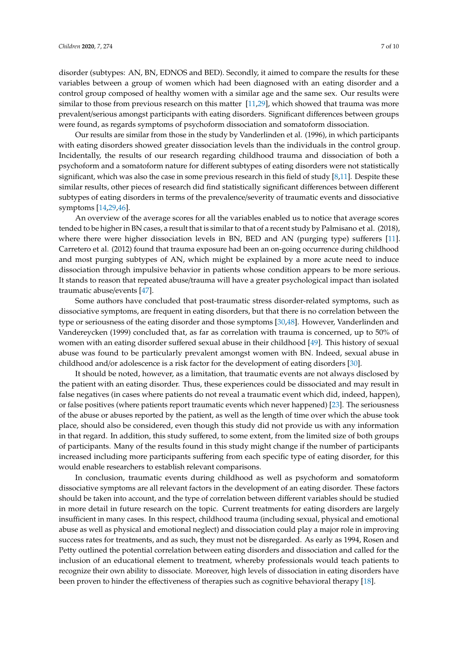disorder (subtypes: AN, BN, EDNOS and BED). Secondly, it aimed to compare the results for these variables between a group of women which had been diagnosed with an eating disorder and a control group composed of healthy women with a similar age and the same sex. Our results were similar to those from previous research on this matter [\[11,](#page-7-11)[29\]](#page-8-11), which showed that trauma was more prevalent/serious amongst participants with eating disorders. Significant differences between groups were found, as regards symptoms of psychoform dissociation and somatoform dissociation.

Our results are similar from those in the study by Vanderlinden et al. (1996), in which participants with eating disorders showed greater dissociation levels than the individuals in the control group. Incidentally, the results of our research regarding childhood trauma and dissociation of both a psychoform and a somatoform nature for different subtypes of eating disorders were not statistically significant, which was also the case in some previous research in this field of study [\[8,](#page-7-6)[11\]](#page-7-11). Despite these similar results, other pieces of research did find statistically significant differences between different subtypes of eating disorders in terms of the prevalence/severity of traumatic events and dissociative symptoms [\[14,](#page-7-9)[29,](#page-8-11)[46\]](#page-9-6).

An overview of the average scores for all the variables enabled us to notice that average scores tended to be higher in BN cases, a result that is similar to that of a recent study by Palmisano et al. (2018), where there were higher dissociation levels in BN, BED and AN (purging type) sufferers [\[11\]](#page-7-11). Carretero et al. (2012) found that trauma exposure had been an on-going occurrence during childhood and most purging subtypes of AN, which might be explained by a more acute need to induce dissociation through impulsive behavior in patients whose condition appears to be more serious. It stands to reason that repeated abuse/trauma will have a greater psychological impact than isolated traumatic abuse/events [\[47\]](#page-9-7).

Some authors have concluded that post-traumatic stress disorder-related symptoms, such as dissociative symptoms, are frequent in eating disorders, but that there is no correlation between the type or seriousness of the eating disorder and those symptoms [\[30,](#page-8-12)[48\]](#page-9-8). However, Vanderlinden and Vandereycken (1999) concluded that, as far as correlation with trauma is concerned, up to 50% of women with an eating disorder suffered sexual abuse in their childhood [\[49\]](#page-9-9). This history of sexual abuse was found to be particularly prevalent amongst women with BN. Indeed, sexual abuse in childhood and/or adolescence is a risk factor for the development of eating disorders [\[30\]](#page-8-12).

It should be noted, however, as a limitation, that traumatic events are not always disclosed by the patient with an eating disorder. Thus, these experiences could be dissociated and may result in false negatives (in cases where patients do not reveal a traumatic event which did, indeed, happen), or false positives (where patients report traumatic events which never happened) [\[23\]](#page-8-5). The seriousness of the abuse or abuses reported by the patient, as well as the length of time over which the abuse took place, should also be considered, even though this study did not provide us with any information in that regard. In addition, this study suffered, to some extent, from the limited size of both groups of participants. Many of the results found in this study might change if the number of participants increased including more participants suffering from each specific type of eating disorder, for this would enable researchers to establish relevant comparisons.

In conclusion, traumatic events during childhood as well as psychoform and somatoform dissociative symptoms are all relevant factors in the development of an eating disorder. These factors should be taken into account, and the type of correlation between different variables should be studied in more detail in future research on the topic. Current treatments for eating disorders are largely insufficient in many cases. In this respect, childhood trauma (including sexual, physical and emotional abuse as well as physical and emotional neglect) and dissociation could play a major role in improving success rates for treatments, and as such, they must not be disregarded. As early as 1994, Rosen and Petty outlined the potential correlation between eating disorders and dissociation and called for the inclusion of an educational element to treatment, whereby professionals would teach patients to recognize their own ability to dissociate. Moreover, high levels of dissociation in eating disorders have been proven to hinder the effectiveness of therapies such as cognitive behavioral therapy [\[18\]](#page-8-1).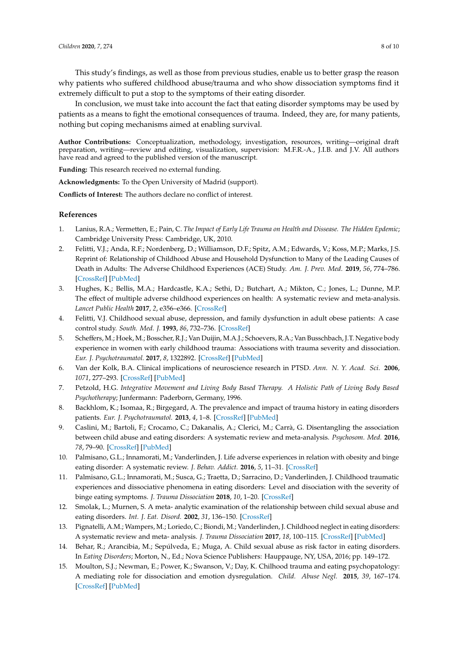This study's findings, as well as those from previous studies, enable us to better grasp the reason why patients who suffered childhood abuse/trauma and who show dissociation symptoms find it extremely difficult to put a stop to the symptoms of their eating disorder.

In conclusion, we must take into account the fact that eating disorder symptoms may be used by patients as a means to fight the emotional consequences of trauma. Indeed, they are, for many patients, nothing but coping mechanisms aimed at enabling survival.

**Author Contributions:** Conceptualization, methodology, investigation, resources, writing—original draft preparation, writing—review and editing, visualization, supervision: M.F.R.-A., J.I.B. and J.V. All authors have read and agreed to the published version of the manuscript.

**Funding:** This research received no external funding.

**Acknowledgments:** To the Open University of Madrid (support).

**Conflicts of Interest:** The authors declare no conflict of interest.

#### **References**

- <span id="page-7-0"></span>1. Lanius, R.A.; Vermetten, E.; Pain, C. *The Impact of Early Life Trauma on Health and Dissease. The Hidden Epdemic*; Cambridge University Press: Cambridge, UK, 2010.
- <span id="page-7-1"></span>2. Felitti, V.J.; Anda, R.F.; Nordenberg, D.; Williamson, D.F.; Spitz, A.M.; Edwards, V.; Koss, M.P.; Marks, J.S. Reprint of: Relationship of Childhood Abuse and Household Dysfunction to Many of the Leading Causes of Death in Adults: The Adverse Childhood Experiences (ACE) Study. *Am. J. Prev. Med.* **2019**, *56*, 774–786. [\[CrossRef\]](http://dx.doi.org/10.1016/j.amepre.2019.04.001) [\[PubMed\]](http://www.ncbi.nlm.nih.gov/pubmed/31104722)
- 3. Hughes, K.; Bellis, M.A.; Hardcastle, K.A.; Sethi, D.; Butchart, A.; Mikton, C.; Jones, L.; Dunne, M.P. The effect of multiple adverse childhood experiences on health: A systematic review and meta-analysis. *Lancet Public Health* **2017**, *2*, e356–e366. [\[CrossRef\]](http://dx.doi.org/10.1016/S2468-2667(17)30118-4)
- <span id="page-7-2"></span>4. Felitti, V.J. Childhood sexual abuse, depression, and family dysfunction in adult obese patients: A case control study. *South. Med. J.* **1993**, *86*, 732–736. [\[CrossRef\]](http://dx.doi.org/10.1097/00007611-199307000-00002)
- <span id="page-7-3"></span>5. Scheffers, M.; Hoek, M.; Bosscher, R.J.; Van Duijin, M.A.J.; Schoevers, R.A.; Van Busschbach, J.T. Negative body experience in women with early childhood trauma: Associations with trauma severity and dissociation. *Eur. J. Psychotraumatol.* **2017**, *8*, 1322892. [\[CrossRef\]](http://dx.doi.org/10.1080/20008198.2017.1322892) [\[PubMed\]](http://www.ncbi.nlm.nih.gov/pubmed/28649300)
- <span id="page-7-4"></span>6. Van der Kolk, B.A. Clinical implications of neuroscience research in PTSD. *Ann. N. Y. Acad. Sci.* **2006**, *1071*, 277–293. [\[CrossRef\]](http://dx.doi.org/10.1196/annals.1364.022) [\[PubMed\]](http://www.ncbi.nlm.nih.gov/pubmed/16891578)
- <span id="page-7-5"></span>7. Petzold, H.G. *Integrative Movement and Living Body Based Therapy. A Holistic Path of Living Body Based Psychotherapy*; Junfermann: Paderborn, Germany, 1996.
- <span id="page-7-6"></span>8. Backhlom, K.; Isomaa, R.; Birgegard, A. The prevalence and impact of trauma history in eating disorders patients. *Eur. J. Psychotraumatol.* **2013**, *4*, 1–8. [\[CrossRef\]](http://dx.doi.org/10.3402/ejpt.v4i0.22482) [\[PubMed\]](http://www.ncbi.nlm.nih.gov/pubmed/24273636)
- <span id="page-7-12"></span>9. Caslini, M.; Bartoli, F.; Crocamo, C.; Dakanalis, A.; Clerici, M.; Carrà, G. Disentangling the association between child abuse and eating disorders: A systematic review and meta-analysis. *Psychosom. Med.* **2016**, *78*, 79–90. [\[CrossRef\]](http://dx.doi.org/10.1097/PSY.0000000000000233) [\[PubMed\]](http://www.ncbi.nlm.nih.gov/pubmed/26461853)
- <span id="page-7-10"></span>10. Palmisano, G.L.; Innamorati, M.; Vanderlinden, J. Life adverse experiences in relation with obesity and binge eating disorder: A systematic review. *J. Behav. Addict.* **2016**, *5*, 11–31. [\[CrossRef\]](http://dx.doi.org/10.1556/2006.5.2016.018)
- <span id="page-7-11"></span>11. Palmisano, G.L.; Innamorati, M.; Susca, G.; Traetta, D.; Sarracino, D.; Vanderlinden, J. Childhood traumatic experiences and dissociative phenomena in eating disorders: Level and disociation with the severity of binge eating symptoms. *J. Trauma Dissociation* **2018**, *10*, 1–20. [\[CrossRef\]](http://dx.doi.org/10.1080/15299732.2017.1304490)
- <span id="page-7-7"></span>12. Smolak, L.; Murnen, S. A meta- analytic examination of the relationship between child sexual abuse and eating disorders. *Int. J. Eat. Disord.* **2002**, *31*, 136–150. [\[CrossRef\]](http://dx.doi.org/10.1002/eat.10008)
- <span id="page-7-8"></span>13. Pignatelli, A.M.; Wampers, M.; Loriedo, C.; Biondi, M.; Vanderlinden, J. Childhood neglect in eating disorders: A systematic review and meta- analysis. *J. Trauma Dissociation* **2017**, *18*, 100–115. [\[CrossRef\]](http://dx.doi.org/10.1080/15299732.2016.1198951) [\[PubMed\]](http://www.ncbi.nlm.nih.gov/pubmed/27282982)
- <span id="page-7-9"></span>14. Behar, R.; Arancibia, M.; Sepúlveda, E.; Muga, A. Child sexual abuse as risk factor in eating disorders. In *Eating Disorders*; Morton, N., Ed.; Nova Science Publishers: Hauppauge, NY, USA, 2016; pp. 149–172.
- 15. Moulton, S.J.; Newman, E.; Power, K.; Swanson, V.; Day, K. Chilhood trauma and eating psychopatology: A mediating role for dissociation and emotion dysregulation. *Child. Abuse Negl.* **2015**, *39*, 167–174. [\[CrossRef\]](http://dx.doi.org/10.1016/j.chiabu.2014.07.003) [\[PubMed\]](http://www.ncbi.nlm.nih.gov/pubmed/25124050)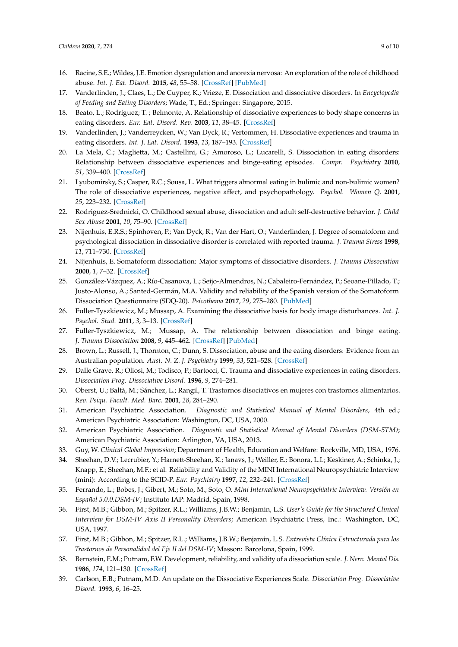- 16. Racine, S.E.; Wildes, J.E. Emotion dysregulation and anorexia nervosa: An exploration of the role of childhood abuse. *Int. J. Eat. Disord.* **2015**, *48*, 55–58. [\[CrossRef\]](http://dx.doi.org/10.1002/eat.22364) [\[PubMed\]](http://www.ncbi.nlm.nih.gov/pubmed/25358997)
- <span id="page-8-0"></span>17. Vanderlinden, J.; Claes, L.; De Cuyper, K.; Vrieze, E. Dissociation and dissociative disorders. In *Encyclopedia of Feeding and Eating Disorders*; Wade, T., Ed.; Springer: Singapore, 2015.
- <span id="page-8-1"></span>18. Beato, L.; Rodríguez; T. ; Belmonte, A. Relationship of dissociative experiences to body shape concerns in eating disorders. *Eur. Eat. Disord. Rev.* **2003**, *11*, 38–45. [\[CrossRef\]](http://dx.doi.org/10.1002/erv.508)
- <span id="page-8-2"></span>19. Vanderlinden, J.; Vanderreycken, W.; Van Dyck, R.; Vertommen, H. Dissociative experiences and trauma in eating disorders. *Int. J. Eat. Disord.* **1993**, *13*, 187–193. [\[CrossRef\]](http://dx.doi.org/10.1002/1098-108X(199303)13:2<187::AID-EAT2260130206>3.0.CO;2-9)
- <span id="page-8-3"></span>20. La Mela, C.; Maglietta, M.; Castellini, G.; Amoroso, L.; Lucarelli, S. Dissociation in eating disorders: Relationship between dissociative experiences and binge-eating episodes. *Compr. Psychiatry* **2010**, *51*, 339–400. [\[CrossRef\]](http://dx.doi.org/10.1016/j.comppsych.2009.09.008)
- 21. Lyubomirsky, S.; Casper, R.C.; Sousa, L. What triggers abnormal eating in bulimic and non-bulimic women? The role of dissociative experiences, negative affect, and psychopathology. *Psychol. Women Q.* **2001**, *25*, 223–232. [\[CrossRef\]](http://dx.doi.org/10.1111/1471-6402.00023)
- <span id="page-8-4"></span>22. Rodriguez-Srednicki, O. Childhood sexual abuse, dissociation and adult self-destructive behavior. *J. Child Sex Abuse* **2001**, *10*, 75–90. [\[CrossRef\]](http://dx.doi.org/10.1300/J070v10n03_05)
- <span id="page-8-5"></span>23. Nijenhuis, E.R.S.; Spinhoven, P.; Van Dyck, R.; Van der Hart, O.; Vanderlinden, J. Degree of somatoform and psychological dissociation in dissociative disorder is correlated with reported trauma. *J. Trauma Stress* **1998**, *11*, 711–730. [\[CrossRef\]](http://dx.doi.org/10.1023/A:1024493332751)
- <span id="page-8-6"></span>24. Nijenhuis, E. Somatoform dissociation: Major symptoms of dissociative disorders. *J. Trauma Dissociation* **2000**, *1*, 7–32. [\[CrossRef\]](http://dx.doi.org/10.1300/J229v01n04_02)
- <span id="page-8-7"></span>25. González-Vázquez, A.; Río-Casanova, L.; Seijo-Almendros, N.; Cabaleiro-Fernández, P.; Seoane-Pillado, T.; Justo-Alonso, A.; Santed-Germán, M.A. Validity and reliability of the Spanish version of the Somatoform Dissociation Questionnaire (SDQ-20). *Psicothema* **2017**, *29*, 275–280. [\[PubMed\]](http://www.ncbi.nlm.nih.gov/pubmed/28438254)
- <span id="page-8-8"></span>26. Fuller-Tyszkiewicz, M.; Mussap, A. Examining the dissociative basis for body image disturbances. *Int. J. Psychol. Stud.* **2011**, *3*, 3–13. [\[CrossRef\]](http://dx.doi.org/10.5539/ijps.v3n2p3)
- <span id="page-8-9"></span>27. Fuller-Tyszkiewicz, M.; Mussap, A. The relationship between dissociation and binge eating. *J. Trauma Dissociation* **2008**, *9*, 445–462. [\[CrossRef\]](http://dx.doi.org/10.1080/15299730802226084) [\[PubMed\]](http://www.ncbi.nlm.nih.gov/pubmed/19042791)
- <span id="page-8-10"></span>28. Brown, L.; Russell, J.; Thornton, C.; Dunn, S. Dissociation, abuse and the eating disorders: Evidence from an Australian population. *Aust. N. Z. J. Psychiatry* **1999**, *33*, 521–528. [\[CrossRef\]](http://dx.doi.org/10.1080/j.1440-1614.1999.00589.x)
- <span id="page-8-11"></span>29. Dalle Grave, R.; Oliosi, M.; Todisco, P.; Bartocci, C. Trauma and dissociative experiences in eating disorders. *Dissociation Prog. Dissociative Disord.* **1996**, *9*, 274–281.
- <span id="page-8-12"></span>30. Oberst, U.; Baltà, M.; Sánchez, L.; Rangil, T. Trastornos disociativos en mujeres con trastornos alimentarios. *Rev. Psiqu. Facult. Med. Barc.* **2001**, *28*, 284–290.
- <span id="page-8-13"></span>31. American Psychiatric Association. *Diagnostic and Statistical Manual of Mental Disorders*, 4th ed.; American Psychiatric Association: Washington, DC, USA, 2000.
- <span id="page-8-14"></span>32. American Psychiatric Association. *Diagnostic and Statistical Manual of Mental Disorders (DSM-5TM)*; American Psychiatric Association: Arlington, VA, USA, 2013.
- <span id="page-8-15"></span>33. Guy, W. *Clinical Global Impression*; Department of Health, Education and Welfare: Rockville, MD, USA, 1976.
- <span id="page-8-16"></span>34. Sheehan, D.V.; Lecrubier, Y.; Harnett-Sheehan, K.; Janavs, J.; Weiller, E.; Bonora, L.I.; Keskiner, A.; Schinka, J.; Knapp, E.; Sheehan, M.F.; et al. Reliability and Validity of the MINI International Neuropsychiatric Interview (mini): According to the SCID-P. *Eur. Psychiatry* **1997**, *12*, 232–241. [\[CrossRef\]](http://dx.doi.org/10.1016/S0924-9338(97)83297-X)
- <span id="page-8-17"></span>35. Ferrando, L.; Bobes, J.; Gibert, M.; Soto, M.; Soto, O. *Mini International Neuropsychiatric Interview. Versión en Español 5.0.0.DSM-IV*; Instituto IAP: Madrid, Spain, 1998.
- <span id="page-8-18"></span>36. First, M.B.; Gibbon, M.; Spitzer, R.L.; Williams, J.B.W.; Benjamin, L.S. *User's Guide for the Structured Clinical Interview for DSM-IV Axis II Personality Disorders*; American Psychiatric Press, Inc.: Washington, DC, USA, 1997.
- <span id="page-8-19"></span>37. First, M.B.; Gibbon, M.; Spitzer, R.L.; Williams, J.B.W.; Benjamin, L.S. *Entrevista Clínica Estructurada para los Trastornos de Personalidad del Eje II del DSM-IV*; Masson: Barcelona, Spain, 1999.
- <span id="page-8-20"></span>38. Bernstein, E.M.; Putnam, F.W. Development, reliability, and validity of a dissociation scale. *J. Nerv. Mental Dis.* **1986**, *174*, 121–130. [\[CrossRef\]](http://dx.doi.org/10.1097/00005053-198612000-00004)
- <span id="page-8-21"></span>39. Carlson, E.B.; Putnam, M.D. An update on the Dissociative Experiences Scale. *Dissociation Prog. Dissociative Disord.* **1993**, *6*, 16–25.